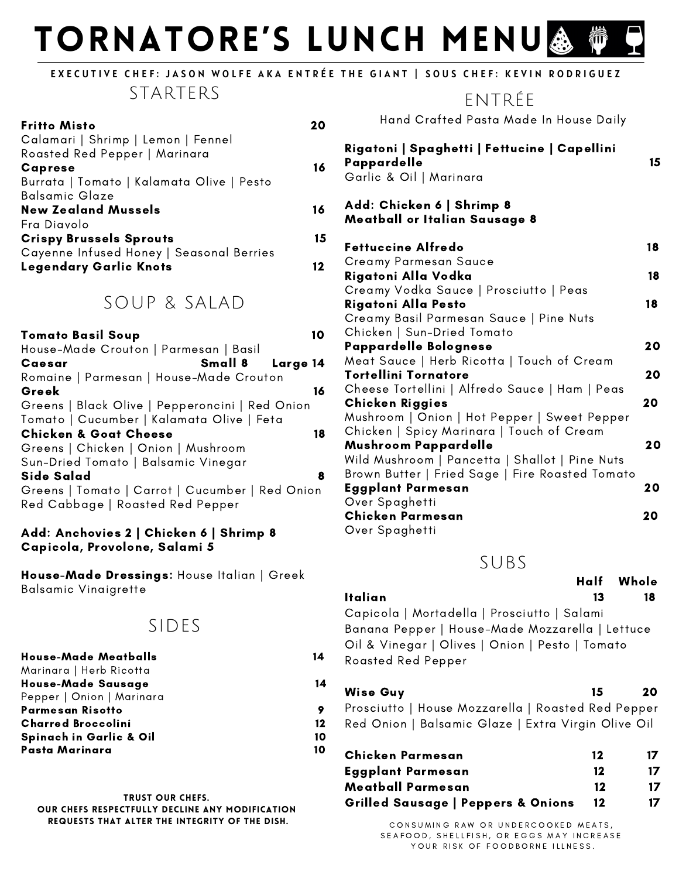# TORNATORE'S LUNCH MENU 行

### EXECUTIVE CHEF: JASON WOLFE AKA ENTRÉE THE GIANT | SOUS CHEF: KEVIN RODRIGUEZ

#### STARTERS

| <b>Fritto Misto</b>                       |    |
|-------------------------------------------|----|
| Calamari   Shrimp   Lemon   Fennel        |    |
| Roasted Red Pepper   Marinara             |    |
| <b>Caprese</b>                            | 16 |
| Burrata   Tomato   Kalamata Olive   Pesto |    |
| <b>Balsamic Glaze</b>                     |    |
| <b>New Zealand Mussels</b>                | 16 |
| Fra Diavolo                               |    |
| <b>Crispy Brussels Sprouts</b>            | 15 |
| Cayenne Infused Honey   Seasonal Berries  |    |
| <b>Legendary Garlic Knots</b>             |    |

### SOUP & SALAD

| Tomato Basil Soup                               |    |
|-------------------------------------------------|----|
| House-Made Crouton   Parmesan   Basil           |    |
| Small 8 Large 14<br>Caesar                      |    |
| Romaine   Parmesan   House-Made Crouton         |    |
| Greek                                           | 16 |
| Greens   Black Olive   Pepperoncini   Red Onion |    |
| Tomato   Cucumber   Kalamata Olive   Feta       |    |
| <b>Chicken &amp; Goat Cheese</b>                | 18 |
| Greens   Chicken   Onion   Mushroom             |    |
| Sun-Dried Tomato   Balsamic Vinegar             |    |
| Side Salad                                      | 8  |
| Greens   Tomato   Carrot   Cucumber   Red Onion |    |
| Red Cabbage   Roasted Red Pepper                |    |
|                                                 |    |

#### Add: Anchovies 2 | Chicken 6 | Shrimp 8 Capicola, Provolone, Salami 5

House-Made Dressings: House Italian | Greek Balsamic Vinaigrette

# SIDES

| <b>House-Made Meatballs</b>        | 14 |
|------------------------------------|----|
| Marinara   Herb Ricotta            |    |
| House-Made Sausage                 | 14 |
| Pepper   Onion   Marinara          |    |
| Parmesan Risotto                   |    |
| <b>Charred Broccolini</b>          | 12 |
| <b>Spinach in Garlic &amp; Oil</b> | 10 |
| Pasta Marinara                     | 10 |

Trust our Chefs. Our Chefs respectfully decline any modification requests that alter the integrity of the dish.

# ENTRÉE

Hand Crafted Pasta Made In House Daily

| Rigatoni   Spaghetti   Fettucine   Capellini<br>Pappardelle<br>Garlic & Oil   Marinara | 15 |
|----------------------------------------------------------------------------------------|----|
| Add: Chicken 6   Shrimp 8<br>Meatball or Italian Sausage 8                             |    |
| <b>Fettuccine Alfredo</b>                                                              | 18 |
| Creamy Parmesan Sauce                                                                  |    |
| Rigatoni Alla Vodka                                                                    | 18 |
| Creamy Vodka Sauce   Prosciutto   Peas                                                 |    |
| Rigatoni Alla Pesto                                                                    | 18 |
| Creamy Basil Parmesan Sauce   Pine Nuts                                                |    |
| Chicken   Sun-Dried Tomato                                                             |    |
| Pappardelle Bolognese                                                                  | 20 |
| Meat Sauce   Herb Ricotta   Touch of Cream                                             |    |
| Tortellini Tornatore                                                                   | 20 |
| Cheese Tortellini   Alfredo Sauce   Ham   Peas                                         |    |
| <b>Chicken Riggies</b>                                                                 | 20 |
| Mushroom   Onion   Hot Pepper   Sweet Pepper                                           |    |
| Chicken   Spicy Marinara   Touch of Cream                                              |    |
| Mushroom Pappardelle                                                                   | 20 |
| Wild Mushroom   Pancetta   Shallot   Pine Nuts                                         |    |
| Brown Butter   Fried Sage   Fire Roasted Tomato                                        |    |
| Eggplant Parmesan                                                                      | 20 |
| Over Spaghetti                                                                         |    |
| Chicken Parmesan                                                                       | 20 |
| Over Spaghetti                                                                         |    |

#### SUBS

|                                                                                                                                                                         | Half Whole |
|-------------------------------------------------------------------------------------------------------------------------------------------------------------------------|------------|
| Italian<br>13                                                                                                                                                           | 18         |
| Capicola   Mortadella   Prosciutto   Salami<br>Banana Pepper   House-Made Mozzarella   Lettuce<br>Oil & Vinegar   Olives   Onion   Pesto   Tomato<br>Roasted Red Pepper |            |
|                                                                                                                                                                         |            |

# Wise Guy 20 Prosciutto | House Mozzarella | Roasted Red Pepper Red Onion | Balsamic Glaze | Extra Virgin Olive Oil

| Chicken Parmesan                              | 12 | 17  |
|-----------------------------------------------|----|-----|
| <b>Eggplant Parmesan</b>                      | 12 | 17. |
| Meatball Parmesan                             | 12 | 17  |
| <b>Grilled Sausage   Peppers &amp; Onions</b> | 12 | 17  |

CONSUMING RAW OR UNDERCOOKED MEATS, SEAFOOD, SHELLFISH, OR EGGS MAY INCREASE YOUR RISK OF FOODBORNE ILLNESS.